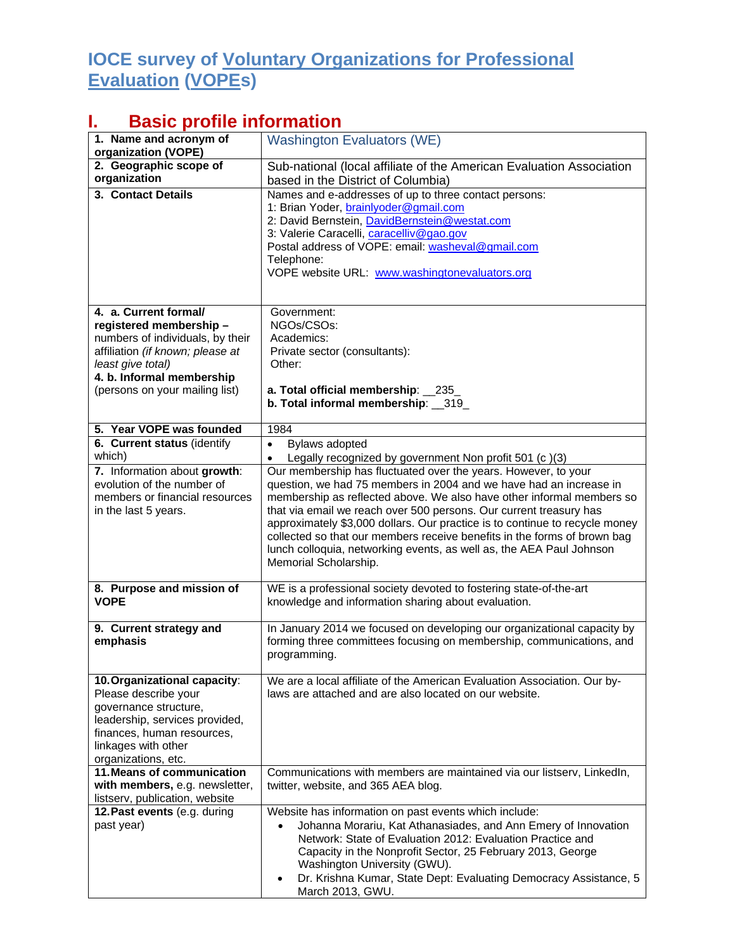## **IOCE survey of Voluntary Organizations for Professional Evaluation (VOPEs)**

## **I. Basic profile information**

| 1. Name and acronym of<br>organization (VOPE)                                                                                                                                                               | <b>Washington Evaluators (WE)</b>                                                                                                                                                                                                                                                                                                                                                                                                                                                                                                                                                                                      |
|-------------------------------------------------------------------------------------------------------------------------------------------------------------------------------------------------------------|------------------------------------------------------------------------------------------------------------------------------------------------------------------------------------------------------------------------------------------------------------------------------------------------------------------------------------------------------------------------------------------------------------------------------------------------------------------------------------------------------------------------------------------------------------------------------------------------------------------------|
| 2. Geographic scope of<br>organization                                                                                                                                                                      | Sub-national (local affiliate of the American Evaluation Association<br>based in the District of Columbia)                                                                                                                                                                                                                                                                                                                                                                                                                                                                                                             |
| 3. Contact Details                                                                                                                                                                                          | Names and e-addresses of up to three contact persons:<br>1: Brian Yoder, brainlyoder@gmail.com<br>2: David Bernstein, DavidBernstein@westat.com<br>3: Valerie Caracelli, caracelliv@gao.gov<br>Postal address of VOPE: email: washeval@gmail.com<br>Telephone:<br>VOPE website URL: www.washingtonevaluators.org                                                                                                                                                                                                                                                                                                       |
| 4. a. Current formal/<br>registered membership-<br>numbers of individuals, by their<br>affiliation (if known; please at<br>least give total)<br>4. b. Informal membership<br>(persons on your mailing list) | Government:<br>NGOs/CSOs:<br>Academics:<br>Private sector (consultants):<br>Other:<br>a. Total official membership: 235<br>b. Total informal membership: 319                                                                                                                                                                                                                                                                                                                                                                                                                                                           |
| 5. Year VOPE was founded                                                                                                                                                                                    | 1984                                                                                                                                                                                                                                                                                                                                                                                                                                                                                                                                                                                                                   |
| 6. Current status (identify                                                                                                                                                                                 | Bylaws adopted<br>$\bullet$                                                                                                                                                                                                                                                                                                                                                                                                                                                                                                                                                                                            |
| which)<br>7. Information about growth:<br>evolution of the number of<br>members or financial resources<br>in the last 5 years.                                                                              | Legally recognized by government Non profit 501 (c)(3)<br>$\bullet$<br>Our membership has fluctuated over the years. However, to your<br>question, we had 75 members in 2004 and we have had an increase in<br>membership as reflected above. We also have other informal members so<br>that via email we reach over 500 persons. Our current treasury has<br>approximately \$3,000 dollars. Our practice is to continue to recycle money<br>collected so that our members receive benefits in the forms of brown bag<br>lunch colloquia, networking events, as well as, the AEA Paul Johnson<br>Memorial Scholarship. |
| 8. Purpose and mission of<br><b>VOPE</b>                                                                                                                                                                    | WE is a professional society devoted to fostering state-of-the-art<br>knowledge and information sharing about evaluation.                                                                                                                                                                                                                                                                                                                                                                                                                                                                                              |
| 9. Current strategy and<br>emphasis                                                                                                                                                                         | In January 2014 we focused on developing our organizational capacity by<br>forming three committees focusing on membership, communications, and<br>programming.                                                                                                                                                                                                                                                                                                                                                                                                                                                        |
| 10. Organizational capacity:<br>Please describe your<br>governance structure,<br>leadership, services provided,<br>finances, human resources,<br>linkages with other<br>organizations, etc.                 | We are a local affiliate of the American Evaluation Association. Our by-<br>laws are attached and are also located on our website.                                                                                                                                                                                                                                                                                                                                                                                                                                                                                     |
| 11. Means of communication<br>with members, e.g. newsletter,<br>listserv, publication, website                                                                                                              | Communications with members are maintained via our listserv, LinkedIn,<br>twitter, website, and 365 AEA blog.                                                                                                                                                                                                                                                                                                                                                                                                                                                                                                          |
| 12. Past events (e.g. during<br>past year)                                                                                                                                                                  | Website has information on past events which include:<br>Johanna Morariu, Kat Athanasiades, and Ann Emery of Innovation<br>$\bullet$<br>Network: State of Evaluation 2012: Evaluation Practice and<br>Capacity in the Nonprofit Sector, 25 February 2013, George<br>Washington University (GWU).<br>Dr. Krishna Kumar, State Dept: Evaluating Democracy Assistance, 5<br>March 2013, GWU.                                                                                                                                                                                                                              |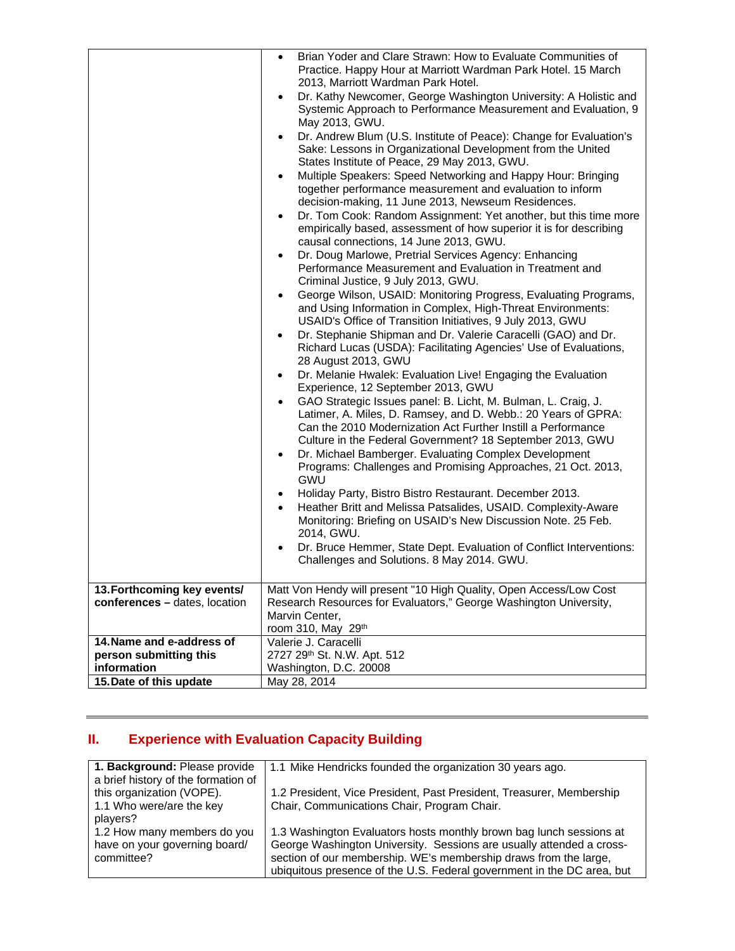|                                                                                                                                                               | Brian Yoder and Clare Strawn: How to Evaluate Communities of<br>$\bullet$<br>Practice. Happy Hour at Marriott Wardman Park Hotel. 15 March<br>2013, Marriott Wardman Park Hotel.<br>Dr. Kathy Newcomer, George Washington University: A Holistic and<br>$\bullet$<br>Systemic Approach to Performance Measurement and Evaluation, 9<br>May 2013, GWU.<br>Dr. Andrew Blum (U.S. Institute of Peace): Change for Evaluation's<br>$\bullet$<br>Sake: Lessons in Organizational Development from the United<br>States Institute of Peace, 29 May 2013, GWU.<br>Multiple Speakers: Speed Networking and Happy Hour: Bringing<br>$\bullet$<br>together performance measurement and evaluation to inform<br>decision-making, 11 June 2013, Newseum Residences.<br>Dr. Tom Cook: Random Assignment: Yet another, but this time more<br>$\bullet$<br>empirically based, assessment of how superior it is for describing<br>causal connections, 14 June 2013, GWU.<br>Dr. Doug Marlowe, Pretrial Services Agency: Enhancing<br>$\bullet$<br>Performance Measurement and Evaluation in Treatment and<br>Criminal Justice, 9 July 2013, GWU.<br>George Wilson, USAID: Monitoring Progress, Evaluating Programs,<br>$\bullet$                                                                                                                                                                                                                                                                        |
|---------------------------------------------------------------------------------------------------------------------------------------------------------------|-----------------------------------------------------------------------------------------------------------------------------------------------------------------------------------------------------------------------------------------------------------------------------------------------------------------------------------------------------------------------------------------------------------------------------------------------------------------------------------------------------------------------------------------------------------------------------------------------------------------------------------------------------------------------------------------------------------------------------------------------------------------------------------------------------------------------------------------------------------------------------------------------------------------------------------------------------------------------------------------------------------------------------------------------------------------------------------------------------------------------------------------------------------------------------------------------------------------------------------------------------------------------------------------------------------------------------------------------------------------------------------------------------------------------------------------------------------------------------------------|
| 13. Forthcoming key events/<br>conferences - dates, location<br>14. Name and e-address of<br>person submitting this<br>information<br>15. Date of this update | and Using Information in Complex, High-Threat Environments:<br>USAID's Office of Transition Initiatives, 9 July 2013, GWU<br>Dr. Stephanie Shipman and Dr. Valerie Caracelli (GAO) and Dr.<br>٠<br>Richard Lucas (USDA): Facilitating Agencies' Use of Evaluations,<br>28 August 2013, GWU<br>Dr. Melanie Hwalek: Evaluation Live! Engaging the Evaluation<br>$\bullet$<br>Experience, 12 September 2013, GWU<br>GAO Strategic Issues panel: B. Licht, M. Bulman, L. Craig, J.<br>$\bullet$<br>Latimer, A. Miles, D. Ramsey, and D. Webb.: 20 Years of GPRA:<br>Can the 2010 Modernization Act Further Instill a Performance<br>Culture in the Federal Government? 18 September 2013, GWU<br>Dr. Michael Bamberger. Evaluating Complex Development<br>٠<br>Programs: Challenges and Promising Approaches, 21 Oct. 2013,<br><b>GWU</b><br>Holiday Party, Bistro Bistro Restaurant. December 2013.<br>٠<br>Heather Britt and Melissa Patsalides, USAID. Complexity-Aware<br>$\bullet$<br>Monitoring: Briefing on USAID's New Discussion Note. 25 Feb.<br>2014, GWU.<br>Dr. Bruce Hemmer, State Dept. Evaluation of Conflict Interventions:<br>$\bullet$<br>Challenges and Solutions. 8 May 2014. GWU.<br>Matt Von Hendy will present "10 High Quality, Open Access/Low Cost<br>Research Resources for Evaluators," George Washington University,<br>Marvin Center,<br>room 310, May 29th<br>Valerie J. Caracelli<br>2727 29th St. N.W. Apt. 512<br>Washington, D.C. 20008<br>May 28, 2014 |

## **II. Experience with Evaluation Capacity Building**

| 1. Background: Please provide       | 1.1 Mike Hendricks founded the organization 30 years ago.              |
|-------------------------------------|------------------------------------------------------------------------|
| a brief history of the formation of |                                                                        |
| this organization (VOPE).           | 1.2 President, Vice President, Past President, Treasurer, Membership   |
| 1.1 Who were/are the key            | Chair, Communications Chair, Program Chair.                            |
| players?                            |                                                                        |
| 1.2 How many members do you         | 1.3 Washington Evaluators hosts monthly brown bag lunch sessions at    |
| have on your governing board/       | George Washington University. Sessions are usually attended a cross-   |
| committee?                          | section of our membership. WE's membership draws from the large,       |
|                                     | ubiquitous presence of the U.S. Federal government in the DC area, but |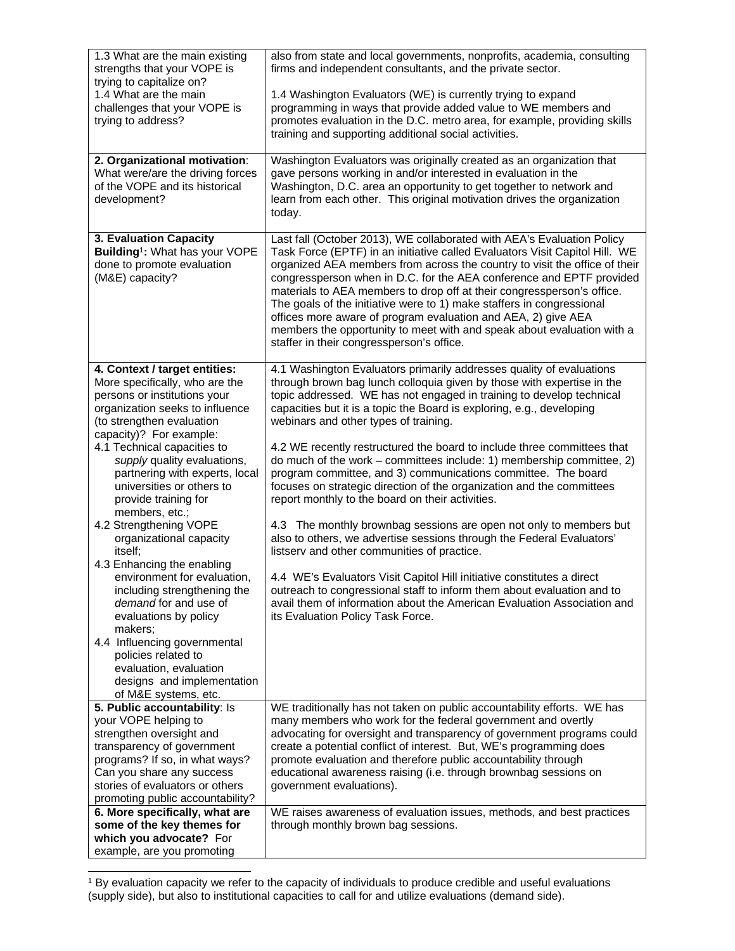| 1.3 What are the main existing<br>strengths that your VOPE is                                                                                                                              | also from state and local governments, nonprofits, academia, consulting<br>firms and independent consultants, and the private sector.                                                                                                                                                                                                                                                                                                                                                                                                                                                                                                                  |
|--------------------------------------------------------------------------------------------------------------------------------------------------------------------------------------------|--------------------------------------------------------------------------------------------------------------------------------------------------------------------------------------------------------------------------------------------------------------------------------------------------------------------------------------------------------------------------------------------------------------------------------------------------------------------------------------------------------------------------------------------------------------------------------------------------------------------------------------------------------|
| trying to capitalize on?<br>1.4 What are the main<br>challenges that your VOPE is<br>trying to address?                                                                                    | 1.4 Washington Evaluators (WE) is currently trying to expand<br>programming in ways that provide added value to WE members and<br>promotes evaluation in the D.C. metro area, for example, providing skills<br>training and supporting additional social activities.                                                                                                                                                                                                                                                                                                                                                                                   |
| 2. Organizational motivation:<br>What were/are the driving forces<br>of the VOPE and its historical<br>development?                                                                        | Washington Evaluators was originally created as an organization that<br>gave persons working in and/or interested in evaluation in the<br>Washington, D.C. area an opportunity to get together to network and<br>learn from each other. This original motivation drives the organization<br>today.                                                                                                                                                                                                                                                                                                                                                     |
| 3. Evaluation Capacity<br>Building <sup>1</sup> : What has your VOPE<br>done to promote evaluation<br>(M&E) capacity?                                                                      | Last fall (October 2013), WE collaborated with AEA's Evaluation Policy<br>Task Force (EPTF) in an initiative called Evaluators Visit Capitol Hill. WE<br>organized AEA members from across the country to visit the office of their<br>congressperson when in D.C. for the AEA conference and EPTF provided<br>materials to AEA members to drop off at their congressperson's office.<br>The goals of the initiative were to 1) make staffers in congressional<br>offices more aware of program evaluation and AEA, 2) give AEA<br>members the opportunity to meet with and speak about evaluation with a<br>staffer in their congressperson's office. |
| 4. Context / target entities:<br>More specifically, who are the<br>persons or institutions your<br>organization seeks to influence<br>(to strengthen evaluation<br>capacity)? For example: | 4.1 Washington Evaluators primarily addresses quality of evaluations<br>through brown bag lunch colloquia given by those with expertise in the<br>topic addressed. WE has not engaged in training to develop technical<br>capacities but it is a topic the Board is exploring, e.g., developing<br>webinars and other types of training.                                                                                                                                                                                                                                                                                                               |
| 4.1 Technical capacities to<br>supply quality evaluations,<br>partnering with experts, local<br>universities or others to<br>provide training for<br>members, etc.;                        | 4.2 WE recently restructured the board to include three committees that<br>do much of the work – committees include: 1) membership committee, 2)<br>program committee, and 3) communications committee. The board<br>focuses on strategic direction of the organization and the committees<br>report monthly to the board on their activities.                                                                                                                                                                                                                                                                                                         |
| 4.2 Strengthening VOPE<br>organizational capacity<br>itself;                                                                                                                               | 4.3 The monthly brownbag sessions are open not only to members but<br>also to others, we advertise sessions through the Federal Evaluators'<br>listserv and other communities of practice.                                                                                                                                                                                                                                                                                                                                                                                                                                                             |
| 4.3 Enhancing the enabling<br>environment for evaluation,<br>including strengthening the<br>demand for and use of<br>evaluations by policy<br>makers:                                      | 4.4 WE's Evaluators Visit Capitol Hill initiative constitutes a direct<br>outreach to congressional staff to inform them about evaluation and to<br>avail them of information about the American Evaluation Association and<br>its Evaluation Policy Task Force.                                                                                                                                                                                                                                                                                                                                                                                       |
| 4.4 Influencing governmental<br>policies related to<br>evaluation, evaluation<br>designs and implementation<br>of M&E systems, etc.                                                        |                                                                                                                                                                                                                                                                                                                                                                                                                                                                                                                                                                                                                                                        |
| 5. Public accountability: Is                                                                                                                                                               | WE traditionally has not taken on public accountability efforts. WE has                                                                                                                                                                                                                                                                                                                                                                                                                                                                                                                                                                                |
| your VOPE helping to                                                                                                                                                                       | many members who work for the federal government and overtly                                                                                                                                                                                                                                                                                                                                                                                                                                                                                                                                                                                           |
| strengthen oversight and<br>transparency of government                                                                                                                                     | advocating for oversight and transparency of government programs could<br>create a potential conflict of interest. But, WE's programming does                                                                                                                                                                                                                                                                                                                                                                                                                                                                                                          |
| programs? If so, in what ways?                                                                                                                                                             | promote evaluation and therefore public accountability through                                                                                                                                                                                                                                                                                                                                                                                                                                                                                                                                                                                         |
| Can you share any success                                                                                                                                                                  | educational awareness raising (i.e. through brownbag sessions on                                                                                                                                                                                                                                                                                                                                                                                                                                                                                                                                                                                       |
| stories of evaluators or others                                                                                                                                                            | government evaluations).                                                                                                                                                                                                                                                                                                                                                                                                                                                                                                                                                                                                                               |
| promoting public accountability?<br>6. More specifically, what are                                                                                                                         | WE raises awareness of evaluation issues, methods, and best practices                                                                                                                                                                                                                                                                                                                                                                                                                                                                                                                                                                                  |
| some of the key themes for                                                                                                                                                                 | through monthly brown bag sessions.                                                                                                                                                                                                                                                                                                                                                                                                                                                                                                                                                                                                                    |
| which you advocate? For                                                                                                                                                                    |                                                                                                                                                                                                                                                                                                                                                                                                                                                                                                                                                                                                                                                        |
| example, are you promoting                                                                                                                                                                 |                                                                                                                                                                                                                                                                                                                                                                                                                                                                                                                                                                                                                                                        |

<sup>1</sup> By evaluation capacity we refer to the capacity of individuals to produce credible and useful evaluations (supply side), but also to institutional capacities to call for and utilize evaluations (demand side).

 $\overline{a}$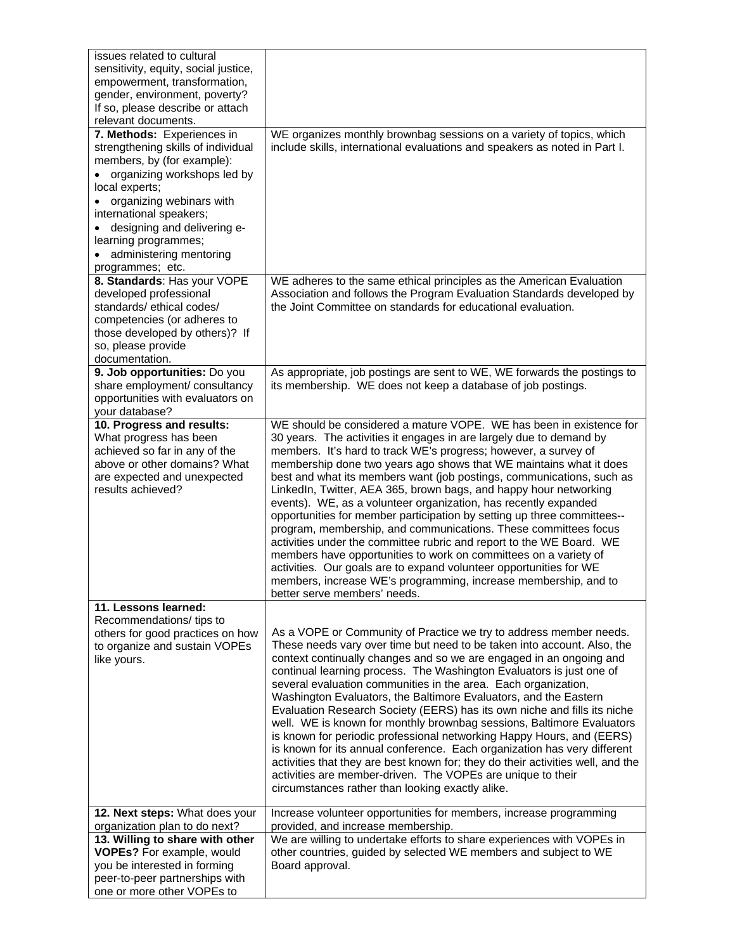| issues related to cultural                                        |                                                                                                                                            |
|-------------------------------------------------------------------|--------------------------------------------------------------------------------------------------------------------------------------------|
| sensitivity, equity, social justice,                              |                                                                                                                                            |
| empowerment, transformation,                                      |                                                                                                                                            |
| gender, environment, poverty?<br>If so, please describe or attach |                                                                                                                                            |
| relevant documents.                                               |                                                                                                                                            |
| 7. Methods: Experiences in                                        | WE organizes monthly brownbag sessions on a variety of topics, which                                                                       |
| strengthening skills of individual                                | include skills, international evaluations and speakers as noted in Part I.                                                                 |
| members, by (for example):                                        |                                                                                                                                            |
| • organizing workshops led by                                     |                                                                                                                                            |
| local experts;                                                    |                                                                                                                                            |
| • organizing webinars with<br>international speakers;             |                                                                                                                                            |
| • designing and delivering e-                                     |                                                                                                                                            |
| learning programmes;                                              |                                                                                                                                            |
| administering mentoring                                           |                                                                                                                                            |
| programmes; etc.                                                  |                                                                                                                                            |
| 8. Standards: Has your VOPE                                       | WE adheres to the same ethical principles as the American Evaluation                                                                       |
| developed professional                                            | Association and follows the Program Evaluation Standards developed by                                                                      |
| standards/ethical codes/                                          | the Joint Committee on standards for educational evaluation.                                                                               |
| competencies (or adheres to<br>those developed by others)? If     |                                                                                                                                            |
| so, please provide                                                |                                                                                                                                            |
| documentation.                                                    |                                                                                                                                            |
| 9. Job opportunities: Do you                                      | As appropriate, job postings are sent to WE, WE forwards the postings to                                                                   |
| share employment/ consultancy                                     | its membership. WE does not keep a database of job postings.                                                                               |
| opportunities with evaluators on                                  |                                                                                                                                            |
| your database?<br>10. Progress and results:                       | WE should be considered a mature VOPE. WE has been in existence for                                                                        |
| What progress has been                                            | 30 years. The activities it engages in are largely due to demand by                                                                        |
| achieved so far in any of the                                     | members. It's hard to track WE's progress; however, a survey of                                                                            |
| above or other domains? What                                      | membership done two years ago shows that WE maintains what it does                                                                         |
| are expected and unexpected                                       | best and what its members want (job postings, communications, such as                                                                      |
| results achieved?                                                 | LinkedIn, Twitter, AEA 365, brown bags, and happy hour networking                                                                          |
|                                                                   | events). WE, as a volunteer organization, has recently expanded<br>opportunities for member participation by setting up three committees-- |
|                                                                   | program, membership, and communications. These committees focus                                                                            |
|                                                                   | activities under the committee rubric and report to the WE Board. WE                                                                       |
|                                                                   | members have opportunities to work on committees on a variety of                                                                           |
|                                                                   | activities. Our goals are to expand volunteer opportunities for WE                                                                         |
|                                                                   | members, increase WE's programming, increase membership, and to                                                                            |
| 11. Lessons learned:                                              | better serve members' needs.                                                                                                               |
| Recommendations/ tips to                                          |                                                                                                                                            |
| others for good practices on how                                  | As a VOPE or Community of Practice we try to address member needs.                                                                         |
| to organize and sustain VOPEs                                     | These needs vary over time but need to be taken into account. Also, the                                                                    |
| like yours.                                                       | context continually changes and so we are engaged in an ongoing and                                                                        |
|                                                                   | continual learning process. The Washington Evaluators is just one of                                                                       |
|                                                                   | several evaluation communities in the area. Each organization,<br>Washington Evaluators, the Baltimore Evaluators, and the Eastern         |
|                                                                   | Evaluation Research Society (EERS) has its own niche and fills its niche                                                                   |
|                                                                   | well. WE is known for monthly brownbag sessions, Baltimore Evaluators                                                                      |
|                                                                   | is known for periodic professional networking Happy Hours, and (EERS)                                                                      |
|                                                                   | is known for its annual conference. Each organization has very different                                                                   |
|                                                                   | activities that they are best known for; they do their activities well, and the                                                            |
|                                                                   | activities are member-driven. The VOPEs are unique to their<br>circumstances rather than looking exactly alike.                            |
|                                                                   |                                                                                                                                            |
| 12. Next steps: What does your                                    | Increase volunteer opportunities for members, increase programming                                                                         |
| organization plan to do next?                                     | provided, and increase membership.                                                                                                         |
| 13. Willing to share with other                                   | We are willing to undertake efforts to share experiences with VOPEs in                                                                     |
| VOPEs? For example, would                                         | other countries, guided by selected WE members and subject to WE                                                                           |
| you be interested in forming<br>peer-to-peer partnerships with    | Board approval.                                                                                                                            |
| one or more other VOPEs to                                        |                                                                                                                                            |